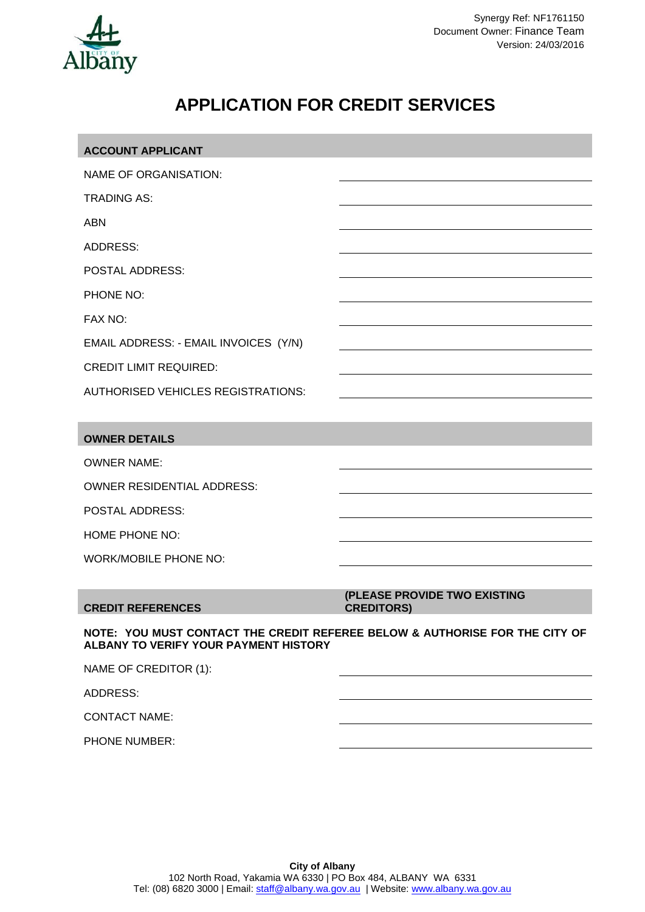

PHONE NUMBER:

# **APPLICATION FOR CREDIT SERVICES**

| <b>ACCOUNT APPLICANT</b>                                                                                             |                                                   |
|----------------------------------------------------------------------------------------------------------------------|---------------------------------------------------|
| NAME OF ORGANISATION:                                                                                                |                                                   |
| <b>TRADING AS:</b>                                                                                                   |                                                   |
| <b>ABN</b>                                                                                                           |                                                   |
| <b>ADDRESS:</b>                                                                                                      |                                                   |
| <b>POSTAL ADDRESS:</b>                                                                                               |                                                   |
| PHONE NO:                                                                                                            |                                                   |
| FAX NO:                                                                                                              |                                                   |
| EMAIL ADDRESS: - EMAIL INVOICES (Y/N)                                                                                |                                                   |
| <b>CREDIT LIMIT REQUIRED:</b>                                                                                        |                                                   |
| <b>AUTHORISED VEHICLES REGISTRATIONS:</b>                                                                            |                                                   |
|                                                                                                                      |                                                   |
| <b>OWNER DETAILS</b>                                                                                                 |                                                   |
| <b>OWNER NAME:</b>                                                                                                   |                                                   |
| <b>OWNER RESIDENTIAL ADDRESS:</b>                                                                                    |                                                   |
| POSTAL ADDRESS:                                                                                                      |                                                   |
| HOME PHONE NO:                                                                                                       |                                                   |
| <b>WORK/MOBILE PHONE NO:</b>                                                                                         |                                                   |
|                                                                                                                      |                                                   |
| <b>CREDIT REFERENCES</b>                                                                                             | (PLEASE PROVIDE TWO EXISTING<br><b>CREDITORS)</b> |
| NOTE: YOU MUST CONTACT THE CREDIT REFEREE BELOW & AUTHORISE FOR THE CITY OF<br>ALBANY TO VERIFY YOUR PAYMENT HISTORY |                                                   |
| NAME OF CREDITOR (1):                                                                                                |                                                   |
| <b>ADDRESS:</b>                                                                                                      |                                                   |
| <b>CONTACT NAME:</b>                                                                                                 |                                                   |